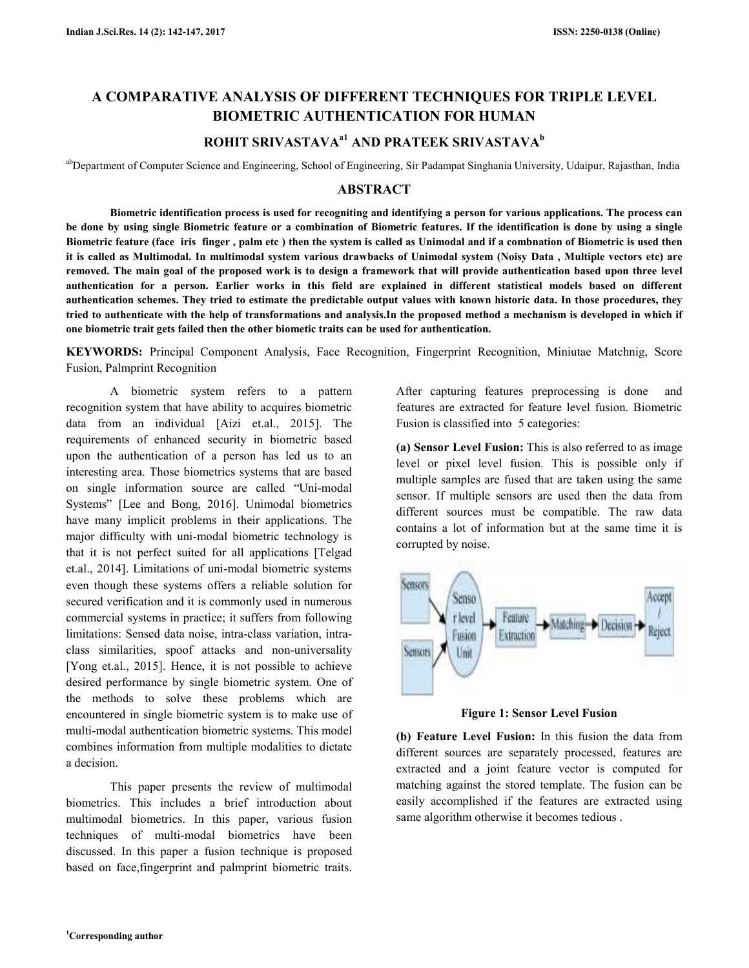# **A COMPARATIVE ANALYSIS OF DIFFERENT TECHNIQUES FOR TRIPLE LEVEL BIOMETRIC AUTHENTICATION FOR HUMAN**

# **ROHIT SRIVASTAVAa1 AND PRATEEK SRIVASTAVA<sup>b</sup>**

abDepartment of Computer Science and Engineering, School of Engineering, Sir Padampat Singhania University, Udaipur, Rajasthan, India

# **ABSTRACT**

 **Biometric identification process is used for recogniting and identifying a person for various applications. The process can be done by using single Biometric feature or a combination of Biometric features. If the identification is done by using a single Biometric feature (face iris finger , palm etc ) then the system is called as Unimodal and if a combnation of Biometric is used then it is called as Multimodal. In multimodal system various drawbacks of Unimodal system (Noisy Data , Multiple vectors etc) are removed. The main goal of the proposed work is to design a framework that will provide authentication based upon three level authentication for a person. Earlier works in this field are explained in different statistical models based on different authentication schemes. They tried to estimate the predictable output values with known historic data. In those procedures, they tried to authenticate with the help of transformations and analysis.In the proposed method a mechanism is developed in which if one biometric trait gets failed then the other biometic traits can be used for authentication.** 

**KEYWORDS:** Principal Component Analysis, Face Recognition, Fingerprint Recognition, Miniutae Matchnig, Score Fusion, Palmprint Recognition

 A biometric system refers to a pattern recognition system that have ability to acquires biometric data from an individual [Aizi et.al., 2015]. The requirements of enhanced security in biometric based upon the authentication of a person has led us to an interesting area. Those biometrics systems that are based on single information source are called "Uni-modal Systems" [Lee and Bong, 2016]. Unimodal biometrics have many implicit problems in their applications. The major difficulty with uni-modal biometric technology is that it is not perfect suited for all applications [Telgad et.al., 2014]. Limitations of uni-modal biometric systems even though these systems offers a reliable solution for secured verification and it is commonly used in numerous commercial systems in practice; it suffers from following limitations: Sensed data noise, intra-class variation, intraclass similarities, spoof attacks and non-universality [Yong et.al., 2015]. Hence, it is not possible to achieve desired performance by single biometric system. One of the methods to solve these problems which are encountered in single biometric system is to make use of multi-modal authentication biometric systems. This model combines information from multiple modalities to dictate a decision.

 This paper presents the review of multimodal biometrics. This includes a brief introduction about multimodal biometrics. In this paper, various fusion techniques of multi-modal biometrics have been discussed. In this paper a fusion technique is proposed based on face,fingerprint and palmprint biometric traits.

After capturing features preprocessing is done and features are extracted for feature level fusion. Biometric Fusion is classified into 5 categories:

**(a) Sensor Level Fusion:** This is also referred to as image level or pixel level fusion. This is possible only if multiple samples are fused that are taken using the same sensor. If multiple sensors are used then the data from different sources must be compatible. The raw data contains a lot of information but at the same time it is corrupted by noise.



**Figure 1: Sensor Level Fusion** 

**(b) Feature Level Fusion:** In this fusion the data from different sources are separately processed, features are extracted and a joint feature vector is computed for matching against the stored template. The fusion can be easily accomplished if the features are extracted using same algorithm otherwise it becomes tedious .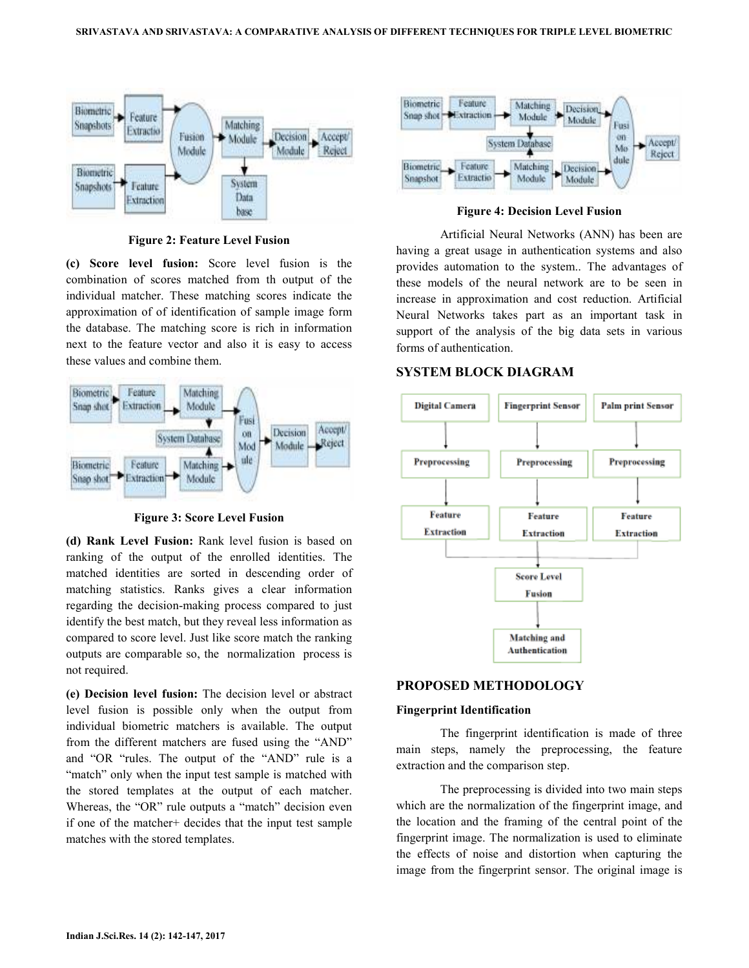

**Figure 2: Feature Level Fusion** 

**(c) Score level fusion:** Score level fusion is the combination of scores matched from th output of the individual matcher. These matching scores indicate the approximation of of identification of sample image form the database. The matching score is rich in information next to the feature vector and also it is easy to access these values and combine them.



**Figure 3: Score Level Fusion** 

**(d) Rank Level Fusion:** Rank level fusion is based on ranking of the output of the enrolled identities. The matched identities are sorted in descending order of matching statistics. Ranks gives a clear information regarding the decision-making process compared to just identify the best match, but they reveal less information as compared to score level. Just like score match the ranking outputs are comparable so, the normalization process is not required.

**(e) Decision level fusion:** The decision level or abstract level fusion is possible only when the output from individual biometric matchers is available. The output from the different matchers are fused using the "AND" and "OR "rules. The output of the "AND" rule is a "match" only when the input test sample is matched with the stored templates at the output of each matcher. Whereas, the "OR" rule outputs a "match" decision even if one of the matcher+ decides that the input test sample matches with the stored templates.



**Figure 4: Decision Level Fusion** 

 Artificial Neural Networks (ANN) has been are having a great usage in authentication systems and also provides automation to the system.. The advantages of these models of the neural network are to be seen in increase in approximation and cost reduction. Artificial Neural Networks takes part as an important task in support of the analysis of the big data sets in various forms of authentication.

# **SYSTEM BLOCK DIAGRAM**



# **PROPOSED METHODOLOGY**

## **Fingerprint Identification**

 The fingerprint identification is made of three main steps, namely the preprocessing, the feature extraction and the comparison step.

 The preprocessing is divided into two main steps which are the normalization of the fingerprint image, and the location and the framing of the central point of the fingerprint image. The normalization is used to eliminate the effects of noise and distortion when capturing the image from the fingerprint sensor. The original image is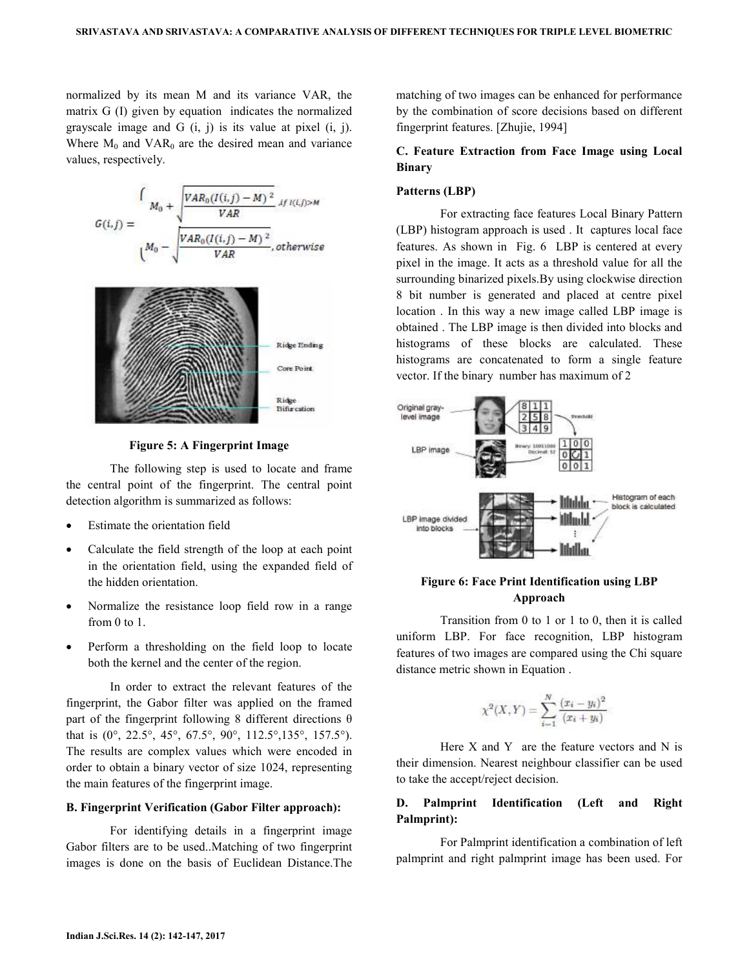normalized by its mean M and its variance VAR, the matrix G (I) given by equation indicates the normalized grayscale image and G (i, j) is its value at pixel (i, j). Where  $M_0$  and VAR<sub>0</sub> are the desired mean and variance values, respectively.





**Figure 5: A Fingerprint Image** 

 The following step is used to locate and frame the central point of the fingerprint. The central point detection algorithm is summarized as follows:

- Estimate the orientation field
- Calculate the field strength of the loop at each point in the orientation field, using the expanded field of the hidden orientation.
- Normalize the resistance loop field row in a range from 0 to 1.
- Perform a thresholding on the field loop to locate both the kernel and the center of the region.

 In order to extract the relevant features of the fingerprint, the Gabor filter was applied on the framed part of the fingerprint following 8 different directions  $\theta$ that is (0°, 22.5°, 45°, 67.5°, 90°, 112.5°,135°, 157.5°). The results are complex values which were encoded in order to obtain a binary vector of size 1024, representing the main features of the fingerprint image.

#### **B. Fingerprint Verification (Gabor Filter approach):**

 For identifying details in a fingerprint image Gabor filters are to be used..Matching of two fingerprint images is done on the basis of Euclidean Distance.The matching of two images can be enhanced for performance by the combination of score decisions based on different fingerprint features. [Zhujie, 1994]

## **C. Feature Extraction from Face Image using Local Binary**

#### **Patterns (LBP)**

 For extracting face features Local Binary Pattern (LBP) histogram approach is used . It captures local face features. As shown in Fig. 6 LBP is centered at every pixel in the image. It acts as a threshold value for all the surrounding binarized pixels.By using clockwise direction 8 bit number is generated and placed at centre pixel location . In this way a new image called LBP image is obtained . The LBP image is then divided into blocks and histograms of these blocks are calculated. These histograms are concatenated to form a single feature vector. If the binary number has maximum of 2



## **Figure 6: Face Print Identification using LBP Approach**

 Transition from 0 to 1 or 1 to 0, then it is called uniform LBP. For face recognition, LBP histogram features of two images are compared using the Chi square distance metric shown in Equation .

$$
\chi^2(X,Y) = \sum_{i=1}^N \frac{(x_i - y_i)^2}{(x_i + y_i)}
$$

Here  $X$  and  $Y$  are the feature vectors and  $N$  is their dimension. Nearest neighbour classifier can be used to take the accept/reject decision.

# **D. Palmprint Identification (Left and Right Palmprint):**

 For Palmprint identification a combination of left palmprint and right palmprint image has been used. For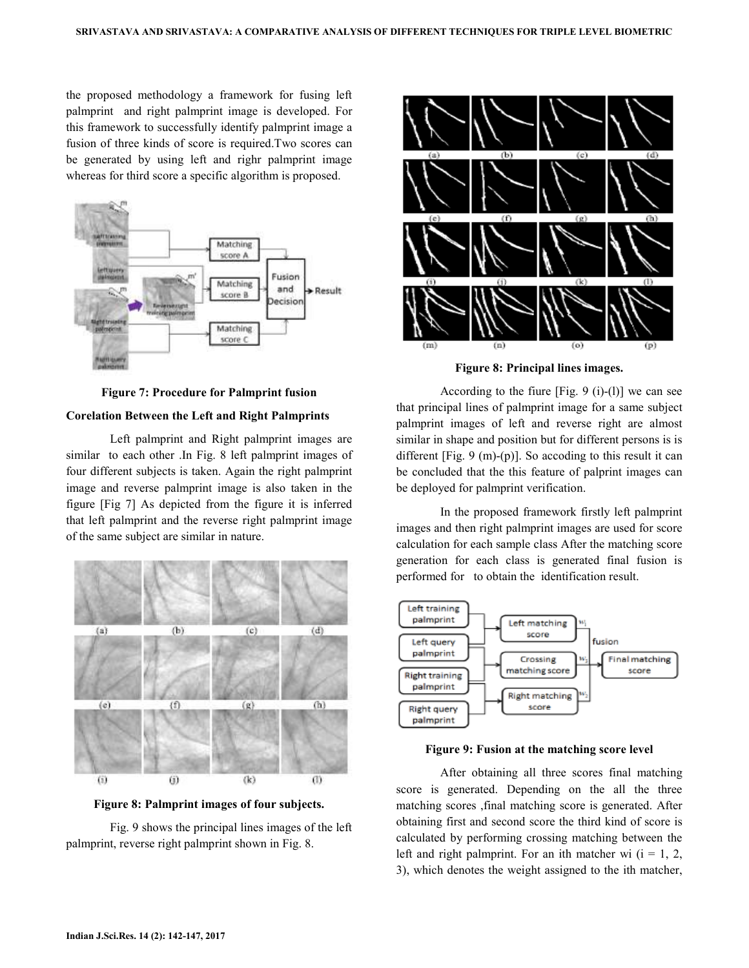the proposed methodology a framework for fusing left palmprint and right palmprint image is developed. For this framework to successfully identify palmprint image a fusion of three kinds of score is required.Two scores can be generated by using left and righr palmprint image whereas for third score a specific algorithm is proposed.



**Figure 7: Procedure for Palmprint fusion** 

#### **Corelation Between the Left and Right Palmprints**

 Left palmprint and Right palmprint images are similar to each other .In Fig. 8 left palmprint images of four different subjects is taken. Again the right palmprint image and reverse palmprint image is also taken in the figure [Fig 7] As depicted from the figure it is inferred that left palmprint and the reverse right palmprint image of the same subject are similar in nature.



**Figure 8: Palmprint images of four subjects.** 

 Fig. 9 shows the principal lines images of the left palmprint, reverse right palmprint shown in Fig. 8.



**Figure 8: Principal lines images.** 

According to the fiure  $[Fig. 9 (i)-(1)]$  we can see that principal lines of palmprint image for a same subject palmprint images of left and reverse right are almost similar in shape and position but for different persons is is different [Fig. 9 (m)-(p)]. So accoding to this result it can be concluded that the this feature of palprint images can be deployed for palmprint verification.

 In the proposed framework firstly left palmprint images and then right palmprint images are used for score calculation for each sample class After the matching score generation for each class is generated final fusion is performed for to obtain the identification result.



**Figure 9: Fusion at the matching score level** 

 After obtaining all three scores final matching score is generated. Depending on the all the three matching scores ,final matching score is generated. After obtaining first and second score the third kind of score is calculated by performing crossing matching between the left and right palmprint. For an ith matcher wi  $(i = 1, 2, ...)$ 3), which denotes the weight assigned to the ith matcher,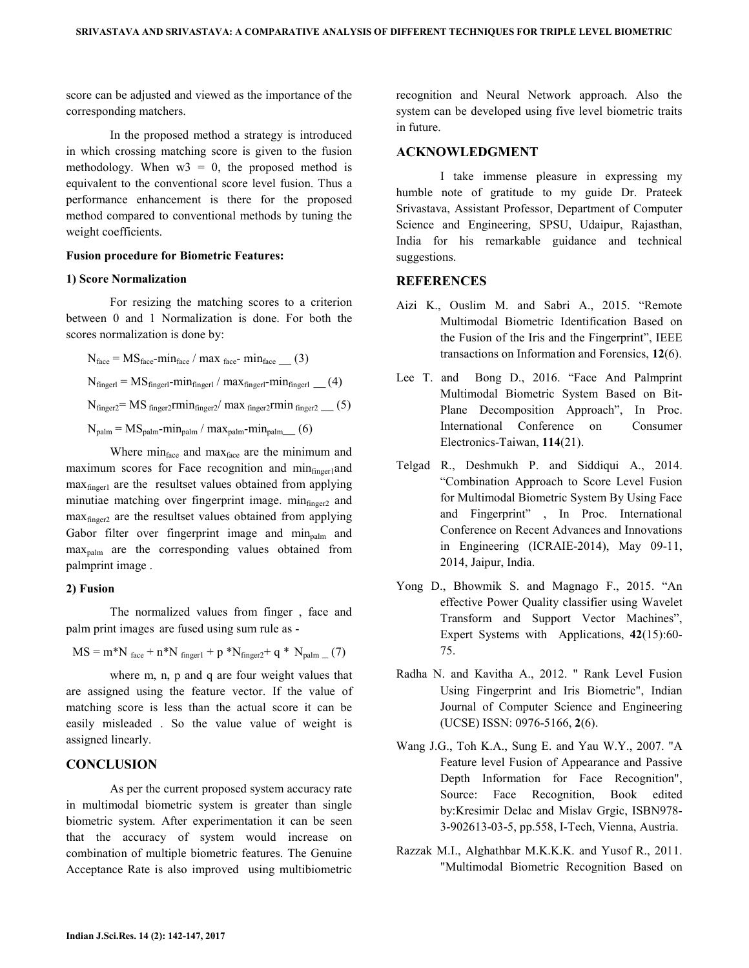score can be adjusted and viewed as the importance of the corresponding matchers.

 In the proposed method a strategy is introduced in which crossing matching score is given to the fusion methodology. When  $w3 = 0$ , the proposed method is equivalent to the conventional score level fusion. Thus a performance enhancement is there for the proposed method compared to conventional methods by tuning the weight coefficients.

## **Fusion procedure for Biometric Features:**

#### **1) Score Normalization**

 For resizing the matching scores to a criterion between 0 and 1 Normalization is done. For both the scores normalization is done by:

$$
N_{\text{face}} = MS_{\text{face}} - \min_{\text{face}} / \max_{\text{face}} \min_{\text{face}} \_ (3)
$$
  
\n
$$
N_{\text{finger}} = MS_{\text{finger1}} - \min_{\text{finger1}} / \max_{\text{finger1}} - \min_{\text{finger1}} \_ (4)
$$
  
\n
$$
N_{\text{finger2}} = MS_{\text{finger2}} \min_{\text{finger2}} / \max_{\text{finger2}} \min_{\text{finger2}} \_ (5)
$$
  
\n
$$
N_{\text{palm}} = MS_{\text{palm}} - \min_{\text{palm}} / \max_{\text{palm}} - \min_{\text{palm}} (6)
$$

Where minface and maxface are the minimum and maximum scores for Face recognition and  $\min_{\text{finger}}$  and maxfinger1 are the resultset values obtained from applying minutiae matching over fingerprint image. minfinger2 and maxfinger2 are the resultset values obtained from applying Gabor filter over fingerprint image and  $\min_{\text{palm}}$  and  $max_{\text{palm}}$  are the corresponding values obtained from palmprint image .

#### **2) Fusion**

 The normalized values from finger , face and palm print images are fused using sum rule as -

$$
MS = m^*N_{face} + n^*N_{finger1} + p^*N_{finger2} + q^*N_{palm} (7)
$$

 where m, n, p and q are four weight values that are assigned using the feature vector. If the value of matching score is less than the actual score it can be easily misleaded . So the value value of weight is assigned linearly.

### **CONCLUSION**

 As per the current proposed system accuracy rate in multimodal biometric system is greater than single biometric system. After experimentation it can be seen that the accuracy of system would increase on combination of multiple biometric features. The Genuine Acceptance Rate is also improved using multibiometric

recognition and Neural Network approach. Also the system can be developed using five level biometric traits in future.

## **ACKNOWLEDGMENT**

 I take immense pleasure in expressing my humble note of gratitude to my guide Dr. Prateek Srivastava, Assistant Professor, Department of Computer Science and Engineering, SPSU, Udaipur, Rajasthan, India for his remarkable guidance and technical suggestions.

# **REFERENCES**

- Aizi K., Ouslim M. and Sabri A., 2015. "Remote Multimodal Biometric Identification Based on the Fusion of the Iris and the Fingerprint", IEEE transactions on Information and Forensics, **12**(6).
- Lee T. and Bong D., 2016. "Face And Palmprint Multimodal Biometric System Based on Bit-Plane Decomposition Approach", In Proc. International Conference on Consumer Electronics-Taiwan, **114**(21).
- Telgad R., Deshmukh P. and Siddiqui A., 2014. "Combination Approach to Score Level Fusion for Multimodal Biometric System By Using Face and Fingerprint" , In Proc. International Conference on Recent Advances and Innovations in Engineering (ICRAIE-2014), May 09-11, 2014, Jaipur, India.
- Yong D., Bhowmik S. and Magnago F., 2015. "An effective Power Quality classifier using Wavelet Transform and Support Vector Machines", Expert Systems with Applications, **42**(15):60- 75.
- Radha N. and Kavitha A., 2012. " Rank Level Fusion Using Fingerprint and Iris Biometric", Indian Journal of Computer Science and Engineering (UCSE) ISSN: 0976-5166, **2**(6).
- Wang J.G., Toh K.A., Sung E. and Yau W.Y., 2007. "A Feature level Fusion of Appearance and Passive Depth Information for Face Recognition", Source: Face Recognition, Book edited by:Kresimir Delac and Mislav Grgic, ISBN978- 3-902613-03-5, pp.558, I-Tech, Vienna, Austria.
- Razzak M.I., Alghathbar M.K.K.K. and Yusof R., 2011. "Multimodal Biometric Recognition Based on